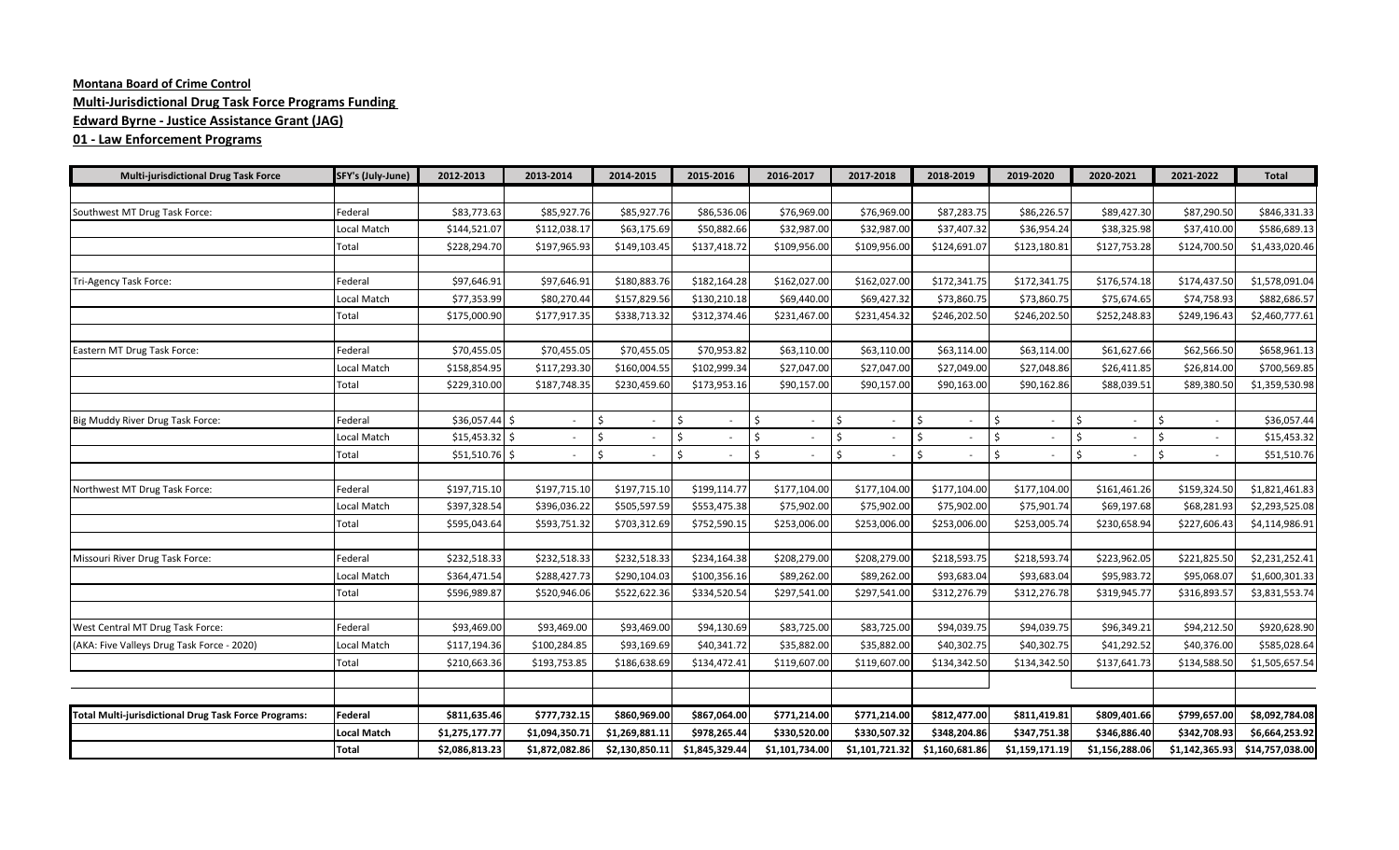## **Montana Board of Crime Control Multi-Jurisdictional Drug Task Force Programs Funding Edward Byrne - Justice Assistance Grant (JAG)**

## **01 - Law Enforcement Programs**

| <b>Multi-jurisdictional Drug Task Force</b>                 | SFY's (July-June)  | 2012-2013       | 2013-2014      | 2014-2015          | 2015-2016      | 2016-2017          | 2017-2018                           | 2018-2019      | 2019-2020      | 2020-2021      | 2021-2022      | <b>Total</b>    |
|-------------------------------------------------------------|--------------------|-----------------|----------------|--------------------|----------------|--------------------|-------------------------------------|----------------|----------------|----------------|----------------|-----------------|
|                                                             |                    |                 |                |                    |                |                    |                                     |                |                |                |                |                 |
| Southwest MT Drug Task Force:                               | Federal            | \$83,773.63     | \$85,927.76    | \$85,927.76        | \$86,536.06    | \$76,969.00        | \$76,969.00                         | \$87,283.75    | \$86,226.57    | \$89,427.30    | \$87,290.50    | \$846,331.33    |
|                                                             | Local Match        | \$144,521.07    | \$112,038.17   | \$63,175.69        | \$50,882.66    | \$32,987.00        | \$32,987.00                         | \$37,407.32    | \$36,954.24    | \$38,325.98    | \$37,410.00    | \$586,689.13    |
|                                                             | Total              | \$228,294.70    | \$197,965.93   | \$149,103.45       | \$137,418.72   | \$109,956.00       | \$109,956.00                        | \$124,691.07   | \$123,180.81   | \$127,753.28   | \$124,700.50   | \$1,433,020.46  |
|                                                             |                    |                 |                |                    |                |                    |                                     |                |                |                |                |                 |
| Tri-Agency Task Force:                                      | Federal            | \$97,646.91     | \$97,646.91    | \$180,883.76       | \$182,164.28   | \$162,027.00       | \$162,027.00                        | \$172,341.75   | \$172,341.75   | \$176,574.18   | \$174,437.50   | \$1,578,091.04  |
|                                                             | Local Match        | \$77,353.99     | \$80,270.44    | \$157,829.56       | \$130,210.18   | \$69,440.00        | \$69,427.32                         | \$73,860.75    | \$73,860.75    | \$75,674.65    | \$74,758.93    | \$882,686.57    |
|                                                             | Total              | \$175,000.90    | \$177,917.35   | \$338,713.32       | \$312,374.46   | \$231,467.00       | \$231,454.32                        | \$246,202.50   | \$246,202.50   | \$252,248.83   | \$249,196.43   | \$2,460,777.61  |
|                                                             |                    |                 |                |                    |                |                    |                                     |                |                |                |                |                 |
| Eastern MT Drug Task Force:                                 | Federal            | \$70,455.05     | \$70,455.05    | \$70,455.05        | \$70,953.82    | \$63,110.00        | \$63,110.00                         | \$63,114.00    | \$63,114.00    | \$61,627.66    | \$62,566.50    | \$658,961.13    |
|                                                             | Local Match        | \$158,854.95    | \$117,293.30   | \$160,004.55       | \$102,999.34   | \$27,047.00        | \$27,047.00                         | \$27,049.00    | \$27,048.86    | \$26,411.85    | \$26,814.00    | \$700,569.85    |
|                                                             | Total              | \$229,310.00    | \$187,748.35   | \$230,459.60       | \$173,953.16   | \$90,157.00        | \$90,157.00                         | \$90,163.00    | \$90,162.86    | \$88,039.51    | \$89,380.50    | \$1,359,530.98  |
|                                                             |                    |                 |                |                    |                |                    |                                     |                |                |                |                |                 |
| Big Muddy River Drug Task Force:                            | Federal            | \$36,057.44     | Ŝ.<br>$\sim$   | Ś.                 | \$             | Ŝ.                 | \$                                  | Ś.             | Ŝ.             | Ś.             | Ŝ.             | \$36,057.44     |
|                                                             | Local Match        | $$15,453.32$ \$ |                | $\mathsf{\hat{S}}$ | Ś              | $\mathsf{\hat{S}}$ | $\zeta$                             | Ś.             | Ŝ.             | \$             |                | \$15,453.32     |
|                                                             | Total              | \$51,510.76     | \$<br>$\sim$   | Ś                  | Ŝ.             | Ŝ.                 | $\zeta$<br>$\overline{\phantom{a}}$ | Ś.             | Ŝ.             | Ŝ.             | Ś.             | \$51,510.76     |
|                                                             |                    |                 |                |                    |                |                    |                                     |                |                |                |                |                 |
| Northwest MT Drug Task Force:                               | Federal            | \$197,715.10    | \$197,715.10   | \$197,715.10       | \$199,114.77   | \$177,104.00       | \$177,104.00                        | \$177,104.00   | \$177,104.00   | \$161,461.26   | \$159,324.50   | \$1,821,461.83  |
|                                                             | Local Match        | \$397,328.54    | \$396,036.22   | \$505,597.59       | \$553,475.38   | \$75,902.00        | \$75,902.00                         | \$75,902.00    | \$75,901.74    | \$69,197.68    | \$68,281.93    | \$2,293,525.08  |
|                                                             | Total              | \$595,043.64    | \$593,751.32   | \$703,312.69       | \$752,590.15   | \$253,006.00       | \$253,006.00                        | \$253,006.00   | \$253,005.74   | \$230,658.94   | \$227,606.43   | \$4,114,986.91  |
|                                                             |                    |                 |                |                    |                |                    |                                     |                |                |                |                |                 |
| Missouri River Drug Task Force:                             | Federal            | \$232,518.33    | \$232,518.33   | \$232,518.33       | \$234,164.38   | \$208,279.00       | \$208,279.00                        | \$218,593.75   | \$218,593.74   | \$223,962.05   | \$221,825.50   | \$2,231,252.41  |
|                                                             | Local Match        | \$364,471.54    | \$288,427.73   | \$290,104.03       | \$100,356.16   | \$89,262.00        | \$89,262.00                         | \$93,683.04    | \$93,683.04    | \$95,983.72    | \$95,068.07    | \$1,600,301.33  |
|                                                             | Total              | \$596,989.87    | \$520,946.06   | \$522,622.36       | \$334,520.54   | \$297,541.00       | \$297,541.00                        | \$312,276.79   | \$312,276.78   | \$319,945.77   | \$316,893.57   | \$3,831,553.74  |
|                                                             |                    |                 |                |                    |                |                    |                                     |                |                |                |                |                 |
| West Central MT Drug Task Force:                            | Federal            | \$93,469.00     | \$93,469.00    | \$93,469.00        | \$94,130.69    | \$83,725.00        | \$83,725.00                         | \$94,039.75    | \$94,039.75    | \$96,349.21    | \$94,212.50    | \$920,628.90    |
| (AKA: Five Valleys Drug Task Force - 2020)                  | Local Match        | \$117,194.36    | \$100,284.85   | \$93,169.69        | \$40,341.72    | \$35,882.00        | \$35,882.00                         | \$40,302.75    | \$40,302.75    | \$41,292.52    | \$40,376.00    | \$585,028.64    |
|                                                             | Total              | \$210,663.36    | \$193,753.85   | \$186,638.69       | \$134,472.41   | \$119,607.00       | \$119,607.00                        | \$134,342.50   | \$134,342.50   | \$137,641.73   | \$134,588.50   | \$1,505,657.54  |
|                                                             |                    |                 |                |                    |                |                    |                                     |                |                |                |                |                 |
|                                                             |                    |                 |                |                    |                |                    |                                     |                |                |                |                |                 |
| <b>Total Multi-jurisdictional Drug Task Force Programs:</b> | Federal            | \$811,635.46    | \$777,732.15   | \$860,969.00       | \$867,064.00   | \$771,214.00       | \$771,214.00                        | \$812,477.00   | \$811,419.81   | \$809,401.66   | \$799,657.00   | \$8,092,784.08  |
|                                                             | <b>Local Match</b> | \$1,275,177.77  | \$1,094,350.71 | \$1,269,881.11     | \$978,265.44   | \$330,520.00       | \$330,507.32                        | \$348,204.86   | \$347,751.38   | \$346,886.40   | \$342,708.93   | \$6,664,253.92  |
|                                                             | <b>Total</b>       | \$2,086,813.23  | \$1,872,082.86 | \$2,130,850.11     | \$1,845,329.44 | \$1,101,734.00     | \$1,101,721.32                      | \$1,160,681.86 | \$1,159,171.19 | \$1,156,288.06 | \$1,142,365.93 | \$14,757,038.00 |